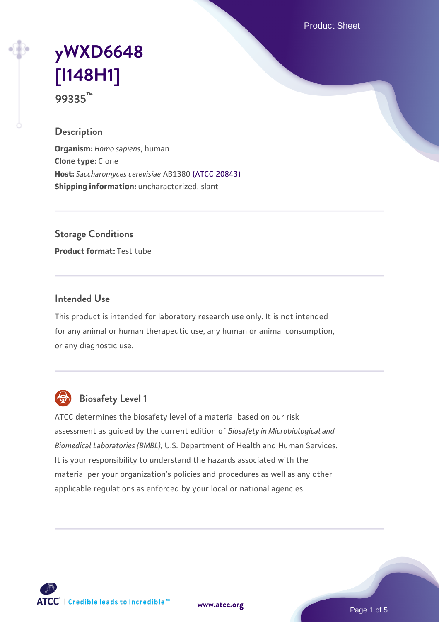Product Sheet

# **[yWXD6648](https://www.atcc.org/products/99335) [\[I148H1\]](https://www.atcc.org/products/99335) 99335™**

#### **Description**

**Organism:** *Homo sapiens*, human **Clone type:** Clone **Host:** *Saccharomyces cerevisiae* AB1380 [\(ATCC 20843\)](https://www.atcc.org/products/20843) **Shipping information:** uncharacterized, slant

**Storage Conditions**

**Product format:** Test tube

#### **Intended Use**

This product is intended for laboratory research use only. It is not intended for any animal or human therapeutic use, any human or animal consumption, or any diagnostic use.



## **Biosafety Level 1**

ATCC determines the biosafety level of a material based on our risk assessment as guided by the current edition of *Biosafety in Microbiological and Biomedical Laboratories (BMBL)*, U.S. Department of Health and Human Services. It is your responsibility to understand the hazards associated with the material per your organization's policies and procedures as well as any other applicable regulations as enforced by your local or national agencies.



**[www.atcc.org](http://www.atcc.org)**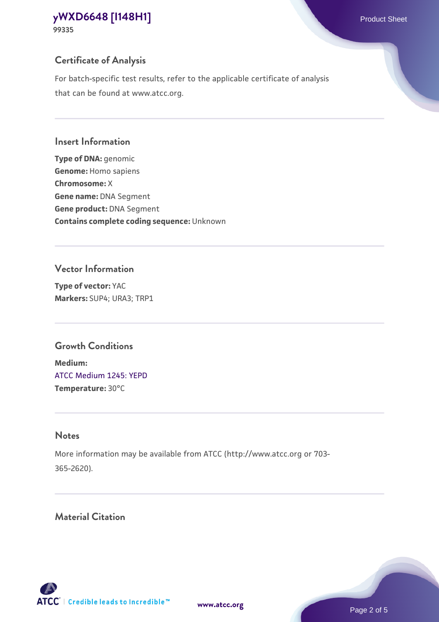**99335**

## **Certificate of Analysis**

For batch-specific test results, refer to the applicable certificate of analysis that can be found at www.atcc.org.

## **Insert Information**

**Type of DNA:** genomic **Genome:** Homo sapiens **Chromosome:** X **Gene name:** DNA Segment **Gene product:** DNA Segment **Contains complete coding sequence:** Unknown

## **Vector Information**

**Type of vector:** YAC **Markers:** SUP4; URA3; TRP1

## **Growth Conditions**

**Medium:**  [ATCC Medium 1245: YEPD](https://www.atcc.org/-/media/product-assets/documents/microbial-media-formulations/1/2/4/5/atcc-medium-1245.pdf?rev=705ca55d1b6f490a808a965d5c072196) **Temperature:** 30°C

## **Notes**

More information may be available from ATCC (http://www.atcc.org or 703- 365-2620).

## **Material Citation**

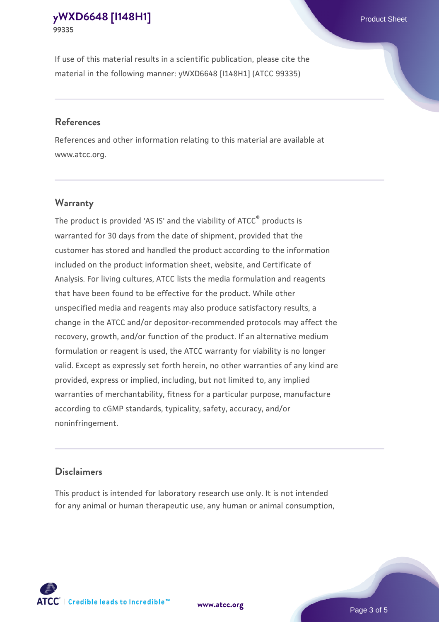If use of this material results in a scientific publication, please cite the material in the following manner: yWXD6648 [I148H1] (ATCC 99335)

#### **References**

References and other information relating to this material are available at www.atcc.org.

### **Warranty**

The product is provided 'AS IS' and the viability of  $ATCC<sup>®</sup>$  products is warranted for 30 days from the date of shipment, provided that the customer has stored and handled the product according to the information included on the product information sheet, website, and Certificate of Analysis. For living cultures, ATCC lists the media formulation and reagents that have been found to be effective for the product. While other unspecified media and reagents may also produce satisfactory results, a change in the ATCC and/or depositor-recommended protocols may affect the recovery, growth, and/or function of the product. If an alternative medium formulation or reagent is used, the ATCC warranty for viability is no longer valid. Except as expressly set forth herein, no other warranties of any kind are provided, express or implied, including, but not limited to, any implied warranties of merchantability, fitness for a particular purpose, manufacture according to cGMP standards, typicality, safety, accuracy, and/or noninfringement.

#### **Disclaimers**

This product is intended for laboratory research use only. It is not intended for any animal or human therapeutic use, any human or animal consumption,



**[www.atcc.org](http://www.atcc.org)**

Page 3 of 5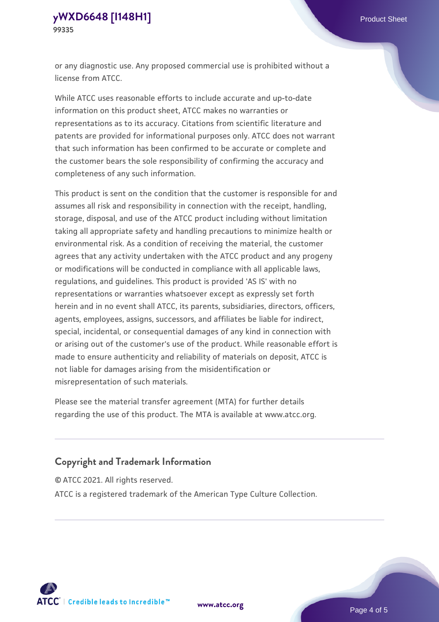or any diagnostic use. Any proposed commercial use is prohibited without a license from ATCC.

While ATCC uses reasonable efforts to include accurate and up-to-date information on this product sheet, ATCC makes no warranties or representations as to its accuracy. Citations from scientific literature and patents are provided for informational purposes only. ATCC does not warrant that such information has been confirmed to be accurate or complete and the customer bears the sole responsibility of confirming the accuracy and completeness of any such information.

This product is sent on the condition that the customer is responsible for and assumes all risk and responsibility in connection with the receipt, handling, storage, disposal, and use of the ATCC product including without limitation taking all appropriate safety and handling precautions to minimize health or environmental risk. As a condition of receiving the material, the customer agrees that any activity undertaken with the ATCC product and any progeny or modifications will be conducted in compliance with all applicable laws, regulations, and guidelines. This product is provided 'AS IS' with no representations or warranties whatsoever except as expressly set forth herein and in no event shall ATCC, its parents, subsidiaries, directors, officers, agents, employees, assigns, successors, and affiliates be liable for indirect, special, incidental, or consequential damages of any kind in connection with or arising out of the customer's use of the product. While reasonable effort is made to ensure authenticity and reliability of materials on deposit, ATCC is not liable for damages arising from the misidentification or misrepresentation of such materials.

Please see the material transfer agreement (MTA) for further details regarding the use of this product. The MTA is available at www.atcc.org.

### **Copyright and Trademark Information**

© ATCC 2021. All rights reserved.

ATCC is a registered trademark of the American Type Culture Collection.



**[www.atcc.org](http://www.atcc.org)**

Page 4 of 5